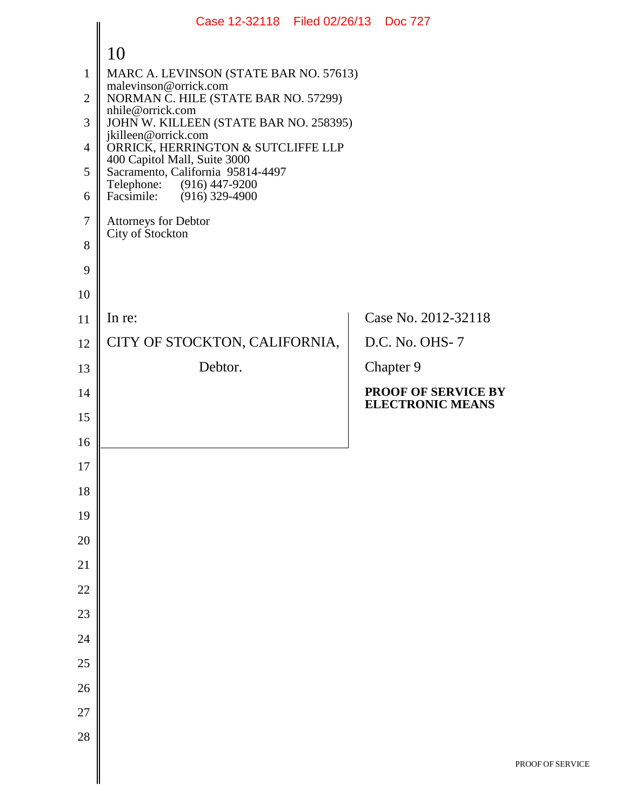|                | Case 12-32118 Filed 02/26/13 Doc 727                              |                                                       |
|----------------|-------------------------------------------------------------------|-------------------------------------------------------|
|                | 10                                                                |                                                       |
| $\mathbf{1}$   | MARC A. LEVINSON (STATE BAR NO. 57613)                            |                                                       |
| $\overline{2}$ | malevinson@orrick.com<br>NORMAN C. HILE (STATE BAR NO. 57299)     |                                                       |
| 3              | nhile@orrick.com<br>JOHN W. KILLEEN (STATE BAR NO. 258395)        |                                                       |
| $\overline{4}$ | jkilleen@orrick.com<br>ORRICK, HERRINGTON & SUTCLIFFE LLP         |                                                       |
| 5              | 400 Capitol Mall, Suite 3000<br>Sacramento, California 95814-4497 |                                                       |
| 6              | Telephone: (916) 447-9200<br>Facsimile: (916) 329-4900            |                                                       |
| 7              | Attorneys for Debtor<br>City of Stockton                          |                                                       |
| 8              |                                                                   |                                                       |
| 9              |                                                                   |                                                       |
| 10             |                                                                   |                                                       |
| 11             | In re:                                                            | Case No. 2012-32118                                   |
| 12             | CITY OF STOCKTON, CALIFORNIA,                                     | D.C. No. OHS-7                                        |
| 13             | Debtor.                                                           | Chapter 9                                             |
| 14             |                                                                   | <b>PROOF OF SERVICE BY</b><br><b>ELECTRONIC MEANS</b> |
| 15             |                                                                   |                                                       |
| 16             |                                                                   |                                                       |
| 17             |                                                                   |                                                       |
| 18             |                                                                   |                                                       |
| 19             |                                                                   |                                                       |
| 20             |                                                                   |                                                       |
| 21             |                                                                   |                                                       |
| 22             |                                                                   |                                                       |
| 23             |                                                                   |                                                       |
| 24             |                                                                   |                                                       |
| 25             |                                                                   |                                                       |
| 26             |                                                                   |                                                       |
| 27             |                                                                   |                                                       |
| 28             |                                                                   |                                                       |
|                |                                                                   | P                                                     |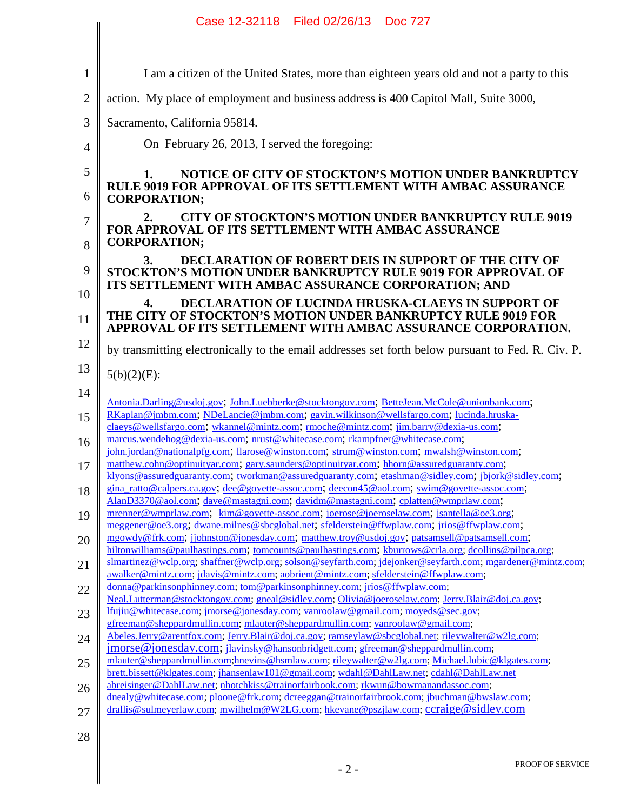|                | Case 12-32118 Filed 02/26/13 Doc 727                                                                                                                                                               |
|----------------|----------------------------------------------------------------------------------------------------------------------------------------------------------------------------------------------------|
|                |                                                                                                                                                                                                    |
| $\mathbf{1}$   | I am a citizen of the United States, more than eighteen years old and not a party to this                                                                                                          |
| $\overline{2}$ | action. My place of employment and business address is 400 Capitol Mall, Suite 3000,                                                                                                               |
| 3              | Sacramento, California 95814.                                                                                                                                                                      |
| 4              | On February 26, 2013, I served the foregoing:                                                                                                                                                      |
| 5              | NOTICE OF CITY OF STOCKTON'S MOTION UNDER BANKRUPTCY<br>1.                                                                                                                                         |
| 6              | <b>RULE 9019 FOR APPROVAL OF ITS SETTLEMENT WITH AMBAC ASSURANCE</b><br><b>CORPORATION;</b>                                                                                                        |
| 7              | <b>CITY OF STOCKTON'S MOTION UNDER BANKRUPTCY RULE 9019</b><br><b>FOR APPROVAL OF ITS SETTLEMENT WITH AMBAC ASSURANCE</b><br><b>CORPORATION;</b>                                                   |
| 8              | <b>DECLARATION OF ROBERT DEIS IN SUPPORT OF THE CITY OF</b><br>3.                                                                                                                                  |
| 9              | <b>STOCKTON'S MOTION UNDER BANKRUPTCY RULE 9019 FOR APPROVAL OF</b><br>ITS SETTLEMENT WITH AMBAC ASSURANCE CORPORATION; AND                                                                        |
| 10             | <b>DECLARATION OF LUCINDA HRUSKA-CLAEYS IN SUPPORT OF</b><br>THE CITY OF STOCKTON'S MOTION UNDER BANKRUPTCY RULE 9019 FOR                                                                          |
| 11             | APPROVAL OF ITS SETTLEMENT WITH AMBAC ASSURANCE CORPORATION.                                                                                                                                       |
| 12             | by transmitting electronically to the email addresses set forth below pursuant to Fed. R. Civ. P.                                                                                                  |
| 13             | $5(b)(2)(E)$ :                                                                                                                                                                                     |
| 14             | Antonia.Darling@usdoj.gov; John.Luebberke@stocktongov.com; BetteJean.McCole@unionbank.com;                                                                                                         |
| 15             | RKaplan@jmbm.com; NDeLancie@jmbm.com; gavin.wilkinson@wellsfargo.com; lucinda.hruska-<br>claeys@wellsfargo.com; wkannel@mintz.com; rmoche@mintz.com; jim.barry@dexia-us.com;                       |
| 16             | marcus.wendehog@dexia-us.com; nrust@whitecase.com; rkampfner@whitecase.com;<br>john.jordan@nationalpfg.com; llarose@winston.com; strum@winston.com; mwalsh@winston.com;                            |
| 17             | matthew.cohn@optinuityar.com; gary.saunders@optinuityar.com; hhorn@assuredguaranty.com;<br>klyons@assuredguaranty.com; tworkman@assuredguaranty.com; etashman@sidley.com; jbjork@sidley.com;       |
| 18             | gina ratto@calpers.ca.gov; dee@govette-assoc.com; deecon45@aol.com; swim@govette-assoc.com;<br>AlanD3370@aol.com; dave@mastagni.com; davidm@mastagni.com; cplatten@wmprlaw.com;                    |
| 19             | mrenner@wmprlaw.com; kim@goyette-assoc.com; joerose@joeroselaw.com; jsantella@oe3.org;<br>meggener@oe3.org, dwane.milnes@sbcglobal.net; sfelderstein@ffwplaw.com; jrios@ffwplaw.com;               |
| 20             | mgowdy@frk.com; jjohnston@jonesday.com; matthew.troy@usdoj.gov; patsamsell@patsamsell.com;<br>hiltonwilliams@paulhastings.com; tomcounts@paulhastings.com; kburrows@crla.org; dcollins@pilpca.org; |
| 21             | slmartinez@wclp.org; shaffner@wclp.org; solson@seyfarth.com; jdejonker@seyfarth.com; mgardener@mintz.com;<br>awalker@mintz.com; jdavis@mintz.com; aobrient@mintz.com; sfelderstein@ffwplaw.com;    |
| 22             | donna@parkinsonphinney.com; tom@parkinsonphinney.com; jrios@ffwplaw.com;<br>Neal.Lutterman@stocktongov.com; gneal@sidley.com; Olivia@joeroselaw.com; Jerry.Blair@doj.ca.gov;                       |
| 23             | lfujiu@whitecase.com; jmorse@jonesday.com; vanroolaw@gmail.com; moyeds@sec.gov;<br>gfreeman@sheppardmullin.com; mlauter@sheppardmullin.com; vanroolaw@gmail.com;                                   |
| 24             | Abeles.Jerry@arentfox.com; Jerry.Blair@doj.ca.gov; ramseylaw@sbcglobal.net; rileywalter@w2lg.com;<br>jmorse@jonesday.com; jlavinsky@hansonbridgett.com; gfreeman@sheppardmullin.com;               |
| 25             | mlauter@sheppardmullin.com;hnevins@hsmlaw.com; rileywalter@w2lg.com; Michael.lubic@klgates.com;<br>brett.bissett@klgates.com; jhansenlaw101@gmail.com; wdahl@DahlLaw.net; cdahl@DahlLaw.net        |
| 26             | abreisinger@DahlLaw.net; nhotchkiss@trainorfairbook.com; rkwun@bowmanandassoc.com;<br>dnealy@whitecase.com; ploone@frk.com; dcreeggan@trainorfairbrook.com; jbuchman@bwslaw.com;                   |
| 27             | drallis@sulmeyerlaw.com; mwilhelm@W2LG.com; hkevane@pszjlaw.com; ccraige@sidley.com                                                                                                                |
| 28             |                                                                                                                                                                                                    |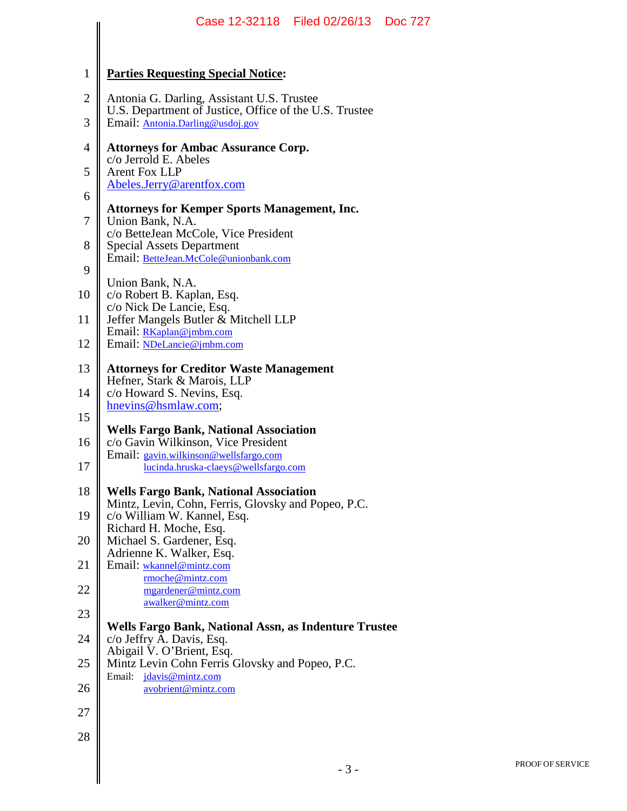|                | Case 12-32118 Filed 02/26/13 Doc 727                                                                 |  |
|----------------|------------------------------------------------------------------------------------------------------|--|
|                |                                                                                                      |  |
| 1              | <b>Parties Requesting Special Notice:</b>                                                            |  |
| $\mathbf{2}$   | Antonia G. Darling, Assistant U.S. Trustee<br>U.S. Department of Justice, Office of the U.S. Trustee |  |
| 3              | Email: Antonia.Darling@usdoj.gov                                                                     |  |
| $\overline{4}$ | <b>Attorneys for Ambac Assurance Corp.</b><br>c/o Jerrold E. Abeles                                  |  |
| 5              | <b>Arent Fox LLP</b><br>Abeles.Jerry@arentfox.com                                                    |  |
| 6              | <b>Attorneys for Kemper Sports Management, Inc.</b>                                                  |  |
| 7              | Union Bank, N.A.<br>c/o BetteJean McCole, Vice President                                             |  |
| 8              | <b>Special Assets Department</b><br>Email: BetteJean.McCole@unionbank.com                            |  |
| 9              |                                                                                                      |  |
| 10             | Union Bank, N.A.<br>c/o Robert B. Kaplan, Esq.                                                       |  |
| 11             | c/o Nick De Lancie, Esq.<br>Jeffer Mangels Butler & Mitchell LLP                                     |  |
| 12             | Email: RKaplan@jmbm.com<br>Email: NDeLancie@jmbm.com                                                 |  |
| 13             | <b>Attorneys for Creditor Waste Management</b><br>Hefner, Stark & Marois, LLP                        |  |
| 14             | c/o Howard S. Nevins, Esq.                                                                           |  |
| 15             | hnevins@hsmlaw.com;                                                                                  |  |
| 16             | <b>Wells Fargo Bank, National Association</b><br>c/o Gavin Wilkinson, Vice President                 |  |
| 17             | Email: gavin.wilkinson@wellsfargo.com<br>lucinda.hruska-claeys@wellsfargo.com                        |  |
| 18             | <b>Wells Fargo Bank, National Association</b>                                                        |  |
| 19             | Mintz, Levin, Cohn, Ferris, Glovsky and Popeo, P.C.<br>c/o William W. Kannel, Esq.                   |  |
| 20             | Richard H. Moche, Esq.<br>Michael S. Gardener, Esq.                                                  |  |
| 21             | Adrienne K. Walker, Esq.<br>Email: wkannel@mintz.com                                                 |  |
| 22             | rmoche@mintz.com<br>mgardener@mintz.com                                                              |  |
| 23             | awalker@mintz.com                                                                                    |  |
| 24             | Wells Fargo Bank, National Assn, as Indenture Trustee<br>c/o Jeffry A. Davis, Esq.                   |  |
| 25             | Abigail V. O'Brient, Esq.<br>Mintz Levin Cohn Ferris Glovsky and Popeo, P.C.                         |  |
| 26             | Email: jdavis@mintz.com<br>avobrient@mintz.com                                                       |  |
| 27             |                                                                                                      |  |
| 28             |                                                                                                      |  |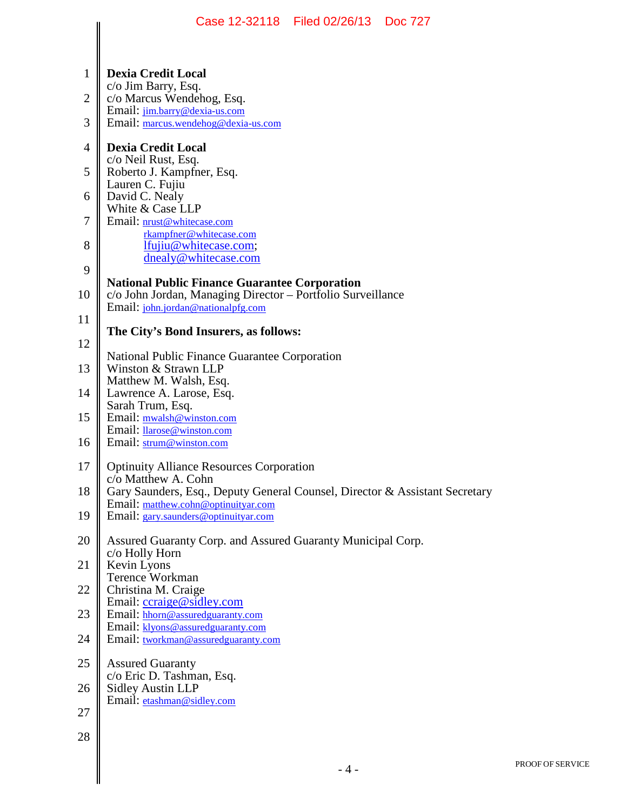|                | Case 12-32118 Filed 02/26/13 Doc 727                                                               |
|----------------|----------------------------------------------------------------------------------------------------|
| 1              | <b>Dexia Credit Local</b>                                                                          |
| $\overline{2}$ | c/o Jim Barry, Esq.<br>c/o Marcus Wendehog, Esq.                                                   |
| 3              | Email: jim.barry@dexia-us.com<br>Email: marcus.wendehog@dexia-us.com                               |
| $\overline{4}$ | <b>Dexia Credit Local</b>                                                                          |
| 5              | c/o Neil Rust, Esq.<br>Roberto J. Kampfner, Esq.                                                   |
| 6              | Lauren C. Fujiu<br>David C. Nealy                                                                  |
| 7              | White & Case LLP<br>Email: nrust@whitecase.com                                                     |
| 8              | rkampfner@whitecase.com<br>lfujiu@whitecase.com;<br>dnealy@whitecase.com                           |
| 9              | <b>National Public Finance Guarantee Corporation</b>                                               |
| 10             | c/o John Jordan, Managing Director – Portfolio Surveillance<br>Email: john.jordan@nationalpfg.com  |
| 11             |                                                                                                    |
| 12             | The City's Bond Insurers, as follows:                                                              |
| 13             | National Public Finance Guarantee Corporation<br>Winston & Strawn LLP                              |
| 14             | Matthew M. Walsh, Esq.<br>Lawrence A. Larose, Esq.                                                 |
| 15             | Sarah Trum, Esq.<br>Email: mwalsh@winston.com                                                      |
| 16             | Email: llarose@winston.com<br>Email: strum@winston.com                                             |
| 17             | <b>Optinuity Alliance Resources Corporation</b>                                                    |
| 18             | c/o Matthew A. Cohn<br>Gary Saunders, Esq., Deputy General Counsel, Director & Assistant Secretary |
| 19             | Email: matthew.cohn@optinuityar.com<br>Email: gary.saunders@optinuityar.com                        |
| 20             | Assured Guaranty Corp. and Assured Guaranty Municipal Corp.<br>c/o Holly Horn                      |
| 21             | Kevin Lyons<br>Terence Workman                                                                     |
| 22             | Christina M. Craige                                                                                |
| 23             | Email: ccraige@sidley.com<br>Email: hhorn@assuredguaranty.com                                      |
| 24             | Email: klyons@assuredguaranty.com<br>Email: tworkman@assuredguaranty.com                           |
| 25             | <b>Assured Guaranty</b>                                                                            |
| 26             | c/o Eric D. Tashman, Esq.<br><b>Sidley Austin LLP</b>                                              |
| 27             | Email: etashman@sidley.com                                                                         |
| 28             |                                                                                                    |
|                | $-4-$                                                                                              |
|                |                                                                                                    |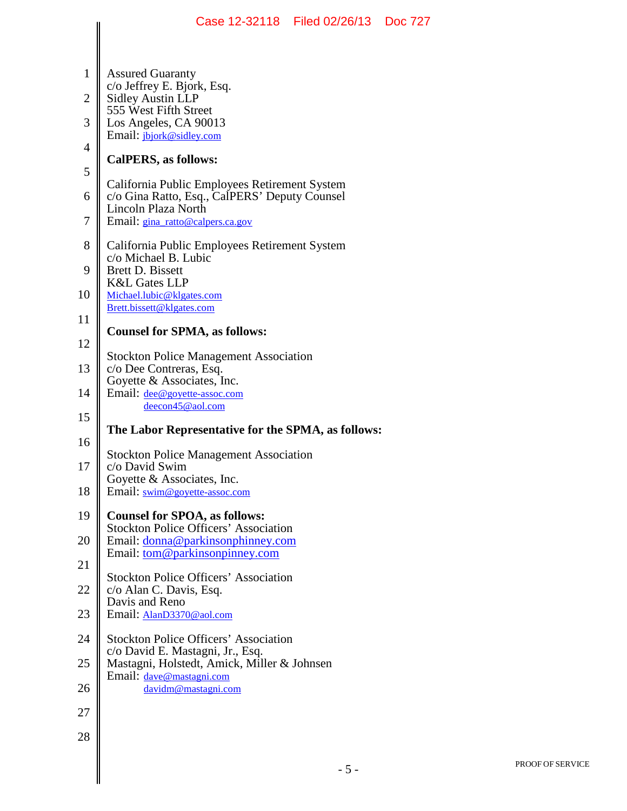|                | Case 12-32118   Filed 02/26/13   Doc 727                                          |       |  |
|----------------|-----------------------------------------------------------------------------------|-------|--|
| $\mathbf{1}$   | <b>Assured Guaranty</b>                                                           |       |  |
| $\overline{c}$ | c/o Jeffrey E. Bjork, Esq.<br><b>Sidley Austin LLP</b>                            |       |  |
| 3              | 555 West Fifth Street<br>Los Angeles, CA 90013                                    |       |  |
| $\overline{4}$ | Email: jbjork@sidley.com<br>CalPERS, as follows:                                  |       |  |
| 5              | California Public Employees Retirement System                                     |       |  |
| 6              | c/o Gina Ratto, Esq., CalPERS' Deputy Counsel<br>Lincoln Plaza North              |       |  |
| 7              | Email: gina_ratto@calpers.ca.gov                                                  |       |  |
| 8              | California Public Employees Retirement System<br>c/o Michael B. Lubic             |       |  |
| 9              | <b>Brett D. Bissett</b><br><b>K&amp;L Gates LLP</b>                               |       |  |
| 10             | Michael.lubic@klgates.com<br>Brett.bissett@klgates.com                            |       |  |
| 11             | <b>Counsel for SPMA, as follows:</b>                                              |       |  |
| 12             | <b>Stockton Police Management Association</b>                                     |       |  |
| 13             | c/o Dee Contreras, Esq.<br>Goyette & Associates, Inc.                             |       |  |
| 14<br>15       | Email: dee@goyette-assoc.com<br>deecon45@aol.com                                  |       |  |
| 16             | The Labor Representative for the SPMA, as follows:                                |       |  |
| 17             | <b>Stockton Police Management Association</b><br>c/o David Swim                   |       |  |
| 18             | Goyette & Associates, Inc.<br>Email: swim@goyette-assoc.com                       |       |  |
| 19             | <b>Counsel for SPOA, as follows:</b>                                              |       |  |
| 20             | <b>Stockton Police Officers' Association</b><br>Email: donna@parkinsonphinney.com |       |  |
| 21             | Email: tom@parkinsonpinney.com                                                    |       |  |
| 22             | <b>Stockton Police Officers' Association</b><br>c/o Alan C. Davis, Esq.           |       |  |
| 23             | Davis and Reno<br>Email: AlanD3370@aol.com                                        |       |  |
| 24             | <b>Stockton Police Officers' Association</b>                                      |       |  |
| 25             | c/o David E. Mastagni, Jr., Esq.<br>Mastagni, Holstedt, Amick, Miller & Johnsen   |       |  |
| 26             | Email: dave@mastagni.com<br>davidm@mastagni.com                                   |       |  |
| 27             |                                                                                   |       |  |
| 28             |                                                                                   |       |  |
|                |                                                                                   | $-5-$ |  |
|                |                                                                                   |       |  |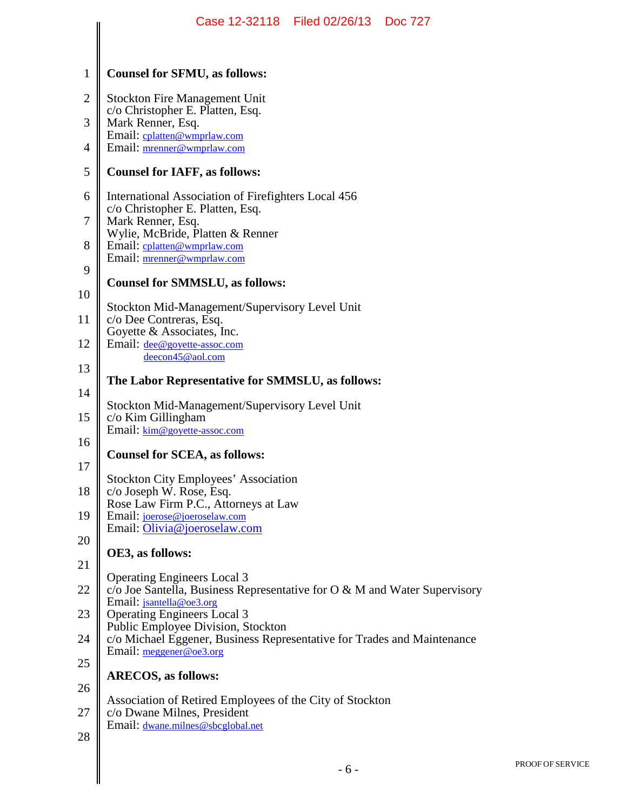|                | Case 12-32118 Filed 02/26/13 Doc 727                                                                  |
|----------------|-------------------------------------------------------------------------------------------------------|
|                |                                                                                                       |
| 1              | <b>Counsel for SFMU, as follows:</b>                                                                  |
| $\overline{2}$ | <b>Stockton Fire Management Unit</b>                                                                  |
| 3              | c/o Christopher E. Platten, Esq.<br>Mark Renner, Esq.<br>Email: cplatten@wmprlaw.com                  |
| 4              | Email: mrenner@wmprlaw.com                                                                            |
| 5              | <b>Counsel for IAFF, as follows:</b>                                                                  |
| 6              | International Association of Firefighters Local 456<br>c/o Christopher E. Platten, Esq.               |
| 7              | Mark Renner, Esq.<br>Wylie, McBride, Platten & Renner                                                 |
| 8              | Email: cplatten@wmprlaw.com<br>Email: mrenner@wmprlaw.com                                             |
| 9              | <b>Counsel for SMMSLU, as follows:</b>                                                                |
| 10             | Stockton Mid-Management/Supervisory Level Unit                                                        |
| 11             | c/o Dee Contreras, Esq.<br>Goyette & Associates, Inc.                                                 |
| 12             | Email: <u>dee@goyette-assoc.com</u><br>deecon45@aol.com                                               |
| 13             | The Labor Representative for SMMSLU, as follows:                                                      |
| 14             | Stockton Mid-Management/Supervisory Level Unit                                                        |
| 15             | c/o Kim Gillingham<br>Email: kim@goyette-assoc.com                                                    |
| 16             | <b>Counsel for SCEA, as follows:</b>                                                                  |
| 17             | <b>Stockton City Employees' Association</b>                                                           |
| 18             | c/o Joseph W. Rose, Esq.<br>Rose Law Firm P.C., Attorneys at Law                                      |
| 19             | Email: joerose@joeroselaw.com<br>Email: Olivia@joeroselaw.com                                         |
| 20             | OE3, as follows:                                                                                      |
| 21             | <b>Operating Engineers Local 3</b>                                                                    |
| 22             | $c$ Joe Santella, Business Representative for O & M and Water Supervisory<br>Email: jsantella@oe3.org |
| 23             | <b>Operating Engineers Local 3</b><br>Public Employee Division, Stockton                              |
| 24             | c/o Michael Eggener, Business Representative for Trades and Maintenance<br>Email: meggener@oe3.org    |
| 25<br>26       | <b>ARECOS, as follows:</b>                                                                            |
| 27             | Association of Retired Employees of the City of Stockton                                              |
| 28             | c/o Dwane Milnes, President<br>Email: <u>dwane.milnes@sbcglobal.net</u>                               |
|                |                                                                                                       |
|                | $-6-$                                                                                                 |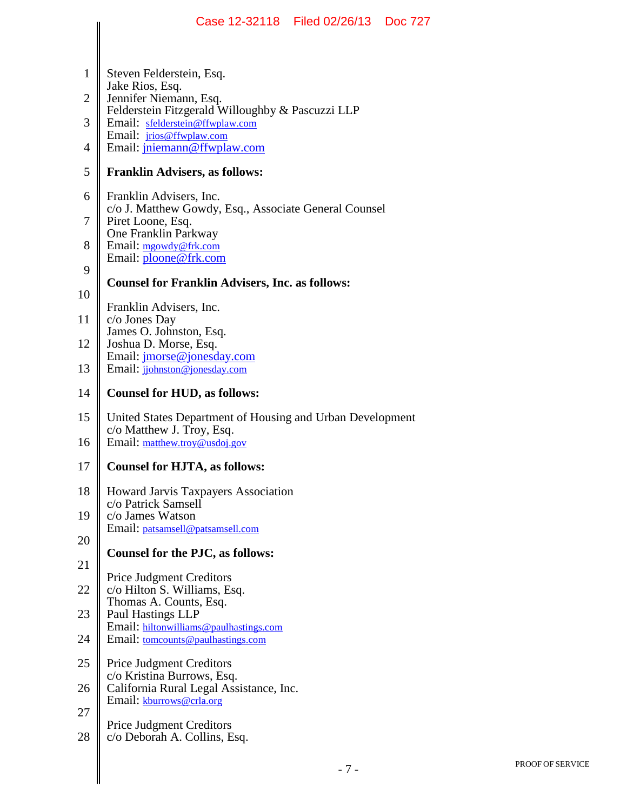|    | Case 12-32118   Filed 02/26/13   Doc 727                                           |
|----|------------------------------------------------------------------------------------|
|    |                                                                                    |
| 1  | Steven Felderstein, Esq.<br>Jake Rios, Esq.                                        |
| 2  | Jennifer Niemann, Esq.<br>Felderstein Fitzgerald Willoughby & Pascuzzi LLP         |
| 3  | Email: sfelderstein@ffwplaw.com<br>Email: <i>jrios@ffwplaw.com</i>                 |
| 4  | Email: jniemann@ffwplaw.com                                                        |
| 5  | <b>Franklin Advisers, as follows:</b>                                              |
| 6  | Franklin Advisers, Inc.<br>c/o J. Matthew Gowdy, Esq., Associate General Counsel   |
| 7  | Piret Loone, Esq.<br>One Franklin Parkway                                          |
| 8  | Email: mgowdy@frk.com<br>Email: ploone@frk.com                                     |
| 9  | <b>Counsel for Franklin Advisers, Inc. as follows:</b>                             |
| 10 | Franklin Advisers, Inc.                                                            |
| 11 | c/o Jones Day<br>James O. Johnston, Esq.                                           |
| 12 | Joshua D. Morse, Esq.                                                              |
| 13 | Email: <i>jmorse@jonesday.com</i><br>Email: jjohnston@jonesday.com                 |
| 14 | <b>Counsel for HUD, as follows:</b>                                                |
| 15 | United States Department of Housing and Urban Development                          |
| 16 | c/o Matthew J. Troy, Esq.<br>Email: matthew.troy@usdoj.gov                         |
| 17 | <b>Counsel for HJTA, as follows:</b>                                               |
| 18 | Howard Jarvis Taxpayers Association                                                |
| 19 | c/o Patrick Samsell<br>c/o James Watson                                            |
| 20 | Email: patsamsell@patsamsell.com                                                   |
| 21 | Counsel for the PJC, as follows:                                                   |
| 22 | <b>Price Judgment Creditors</b><br>c/o Hilton S. Williams, Esq.                    |
| 23 | Thomas A. Counts, Esq.<br>Paul Hastings LLP                                        |
| 24 | Email: hiltonwilliams@paulhastings.com<br>Email: <u>tomcounts@paulhastings.com</u> |
| 25 | Price Judgment Creditors                                                           |
| 26 | c/o Kristina Burrows, Esq.<br>California Rural Legal Assistance, Inc.              |
| 27 | Email: kburrows@crla.org                                                           |
| 28 | <b>Price Judgment Creditors</b><br>c/o Deborah A. Collins, Esq.                    |
|    | $-7-$                                                                              |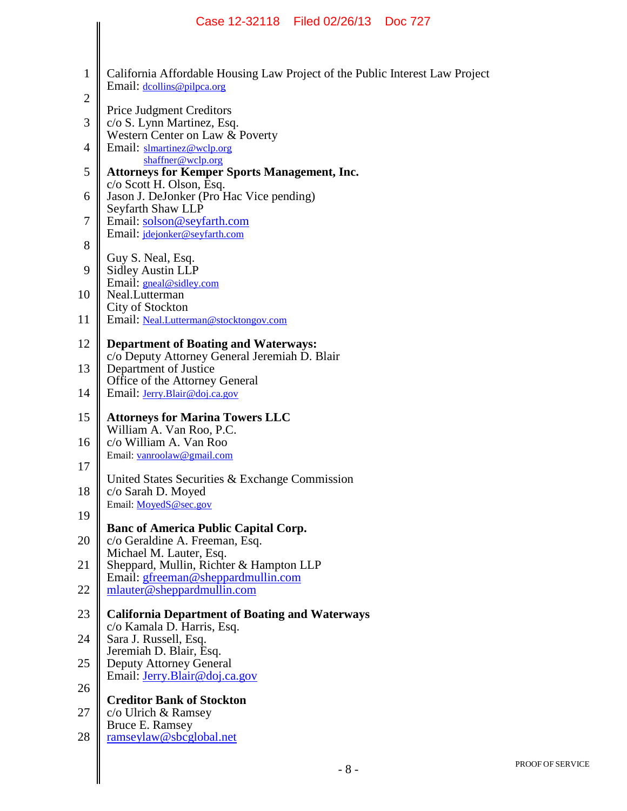|                | Case 12-32118 Filed 02/26/13 Doc 727                                                                       |
|----------------|------------------------------------------------------------------------------------------------------------|
|                |                                                                                                            |
| $\mathbf{1}$   | California Affordable Housing Law Project of the Public Interest Law Project<br>Email: dcollins@pilpca.org |
| $\overline{2}$ | <b>Price Judgment Creditors</b>                                                                            |
| 3<br>4         | c/o S. Lynn Martinez, Esq.<br>Western Center on Law & Poverty<br>Email: slmartinez@wclp.org                |
| 5              | shaffner@wclp.org<br><b>Attorneys for Kemper Sports Management, Inc.</b>                                   |
| 6              | c/o Scott H. Olson, Esq.<br>Jason J. DeJonker (Pro Hac Vice pending)                                       |
| 7              | Seyfarth Shaw LLP<br>Email: solson@seyfarth.com                                                            |
| 8              | Email: jdejonker@seyfarth.com                                                                              |
| 9              | Guy S. Neal, Esq.<br><b>Sidley Austin LLP</b>                                                              |
| 10             | Email: gneal@sidley.com<br>Neal.Lutterman<br>City of Stockton                                              |
| 11             | Email: Neal.Lutterman@stocktongov.com                                                                      |
| 12             | <b>Department of Boating and Waterways:</b><br>c/o Deputy Attorney General Jeremiah D. Blair               |
| 13             | Department of Justice<br>Office of the Attorney General                                                    |
| 14             | Email: <i>Jerry.Blair@doj.ca.gov</i>                                                                       |
| 15<br>16       | <b>Attorneys for Marina Towers LLC</b><br>William A. Van Roo, P.C.<br>c/o William A. Van Roo               |
| 17             | Email: vanroolaw@gmail.com                                                                                 |
| 18             | United States Securities & Exchange Commission<br>c/o Sarah D. Moyed                                       |
| 19             | Email: MoyedS@sec.gov                                                                                      |
| 20             | <b>Banc of America Public Capital Corp.</b><br>c/o Geraldine A. Freeman, Esq.                              |
| 21             | Michael M. Lauter, Esq.<br>Sheppard, Mullin, Richter & Hampton LLP                                         |
| 22             | Email: gfreeman@sheppardmullin.com<br>mlauter@sheppardmullin.com                                           |
| 23             | <b>California Department of Boating and Waterways</b><br>c/o Kamala D. Harris, Esq.                        |
| 24             | Sara J. Russell, Esq.<br>Jeremiah D. Blair, Esq.                                                           |
| 25             | <b>Deputy Attorney General</b><br>Email: <i>Jerry.Blair@doj.ca.gov</i>                                     |
| 26             | <b>Creditor Bank of Stockton</b>                                                                           |
| 27<br>28       | $c$ /o Ulrich & Ramsey<br>Bruce E. Ramsey<br>ramseylaw@sbcglobal.net                                       |
|                |                                                                                                            |
|                | $-8-$                                                                                                      |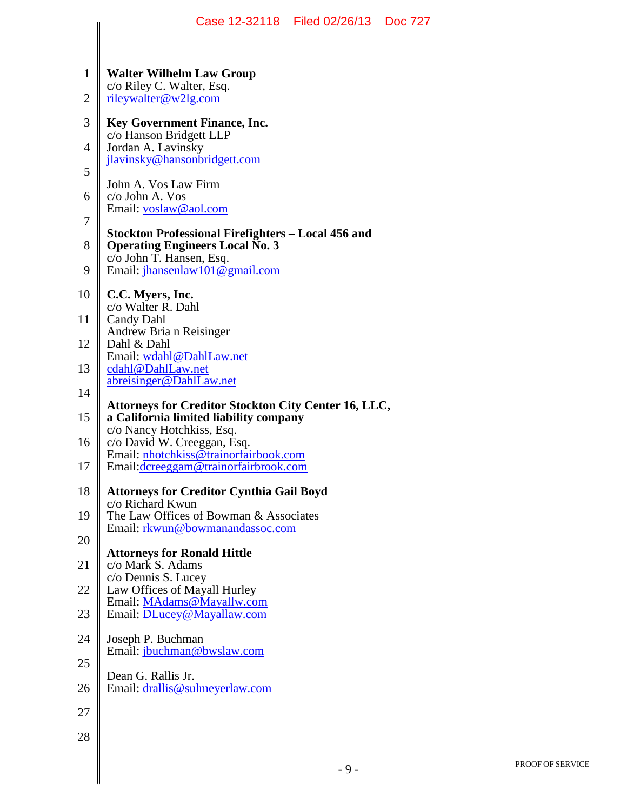|                |                                                                           | Case 12-32118 Filed 02/26/13 Doc 727 |  |
|----------------|---------------------------------------------------------------------------|--------------------------------------|--|
| 1              | <b>Walter Wilhelm Law Group</b><br>c/o Riley C. Walter, Esq.              |                                      |  |
| $\overline{2}$ | rileywalter@w2lg.com                                                      |                                      |  |
| 3              | Key Government Finance, Inc.<br>c/o Hanson Bridgett LLP                   |                                      |  |
| 4              | Jordan A. Lavinsky<br>jlavinsky@hansonbridgett.com                        |                                      |  |
| 5              | John A. Vos Law Firm                                                      |                                      |  |
| 6              | c/o John A. Vos<br>Email: voslaw@aol.com                                  |                                      |  |
| 7              | Stockton Professional Firefighters – Local 456 and                        |                                      |  |
| 8              | <b>Operating Engineers Local No. 3</b><br>c/o John T. Hansen, Esq.        |                                      |  |
| 9              | Email: jhansenlaw101@gmail.com                                            |                                      |  |
| 10             | C.C. Myers, Inc.<br>c/o Walter R. Dahl                                    |                                      |  |
| 11             | <b>Candy Dahl</b><br>Andrew Bria n Reisinger                              |                                      |  |
| 12             | Dahl & Dahl<br>Email: wdahl@DahlLaw.net                                   |                                      |  |
| 13             | cdahl@DahlLaw.net<br>abreisinger@DahlLaw.net                              |                                      |  |
| 14             | <b>Attorneys for Creditor Stockton City Center 16, LLC,</b>               |                                      |  |
| 15             | a California limited liability company<br>c/o Nancy Hotchkiss, Esq.       |                                      |  |
| 16             | c/o David W. Creeggan, Esq.<br>Email: nhotchkiss@trainorfairbook.com      |                                      |  |
| 17             | Email: dcreeggam@trainorfairbrook.com                                     |                                      |  |
| 18             | <b>Attorneys for Creditor Cynthia Gail Boyd</b><br>c/o Richard Kwun       |                                      |  |
| 19             | The Law Offices of Bowman & Associates<br>Email: rkwun@bowmanandassoc.com |                                      |  |
| 20             | <b>Attorneys for Ronald Hittle</b>                                        |                                      |  |
| 21             | c/o Mark S. Adams<br>c/o Dennis S. Lucey                                  |                                      |  |
| 22             | Law Offices of Mayall Hurley<br>Email: MAdams@Mayallw.com                 |                                      |  |
| 23             | Email: DLucey@Mayallaw.com                                                |                                      |  |
| 24             | Joseph P. Buchman<br>Email: jbuchman@bwslaw.com                           |                                      |  |
| 25             | Dean G. Rallis Jr.                                                        |                                      |  |
| 26             | Email: drallis@sulmeyerlaw.com                                            |                                      |  |
| 27             |                                                                           |                                      |  |
| 28             |                                                                           |                                      |  |
|                |                                                                           | $-9-$                                |  |
|                |                                                                           |                                      |  |